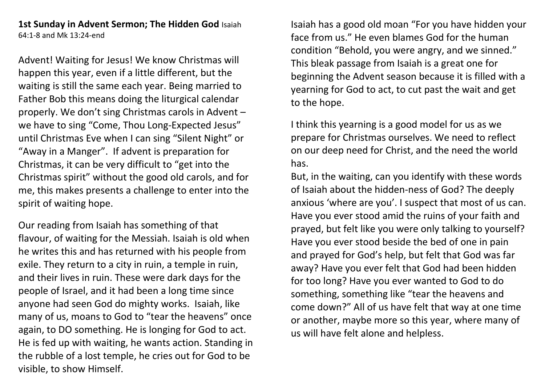## **1st Sunday in Advent Sermon; The Hidden God** Isaiah 64:1-8 and Mk 13:24-end

Advent! Waiting for Jesus! We know Christmas will happen this year, even if a little different, but the waiting is still the same each year. Being married to Father Bob this means doing the liturgical calendar properly. We don't sing Christmas carols in Advent – we have to sing "Come, Thou Long-Expected Jesus" until Christmas Eve when I can sing "Silent Night" or "Away in a Manger". If advent is preparation for Christmas, it can be very difficult to "get into the Christmas spirit" without the good old carols, and for me, this makes presents a challenge to enter into the spirit of waiting hope.

Our reading from Isaiah has something of that flavour, of waiting for the Messiah. Isaiah is old when he writes this and has returned with his people from exile. They return to a city in ruin, a temple in ruin, and their lives in ruin. These were dark days for the people of Israel, and it had been a long time since anyone had seen God do mighty works. Isaiah, like many of us, moans to God to "tear the heavens" once again, to DO something. He is longing for God to act. He is fed up with waiting, he wants action. Standing in the rubble of a lost temple, he cries out for God to be visible, to show Himself.

Isaiah has a good old moan "For you have hidden your face from us." He even blames God for the human condition "Behold, you were angry, and we sinned." This bleak passage from Isaiah is a great one for beginning the Advent season because it is filled with a yearning for God to act, to cut past the wait and get to the hope.

I think this yearning is a good model for us as we prepare for Christmas ourselves. We need to reflect on our deep need for Christ, and the need the world has.

But, in the waiting, can you identify with these words of Isaiah about the hidden-ness of God? The deeply anxious 'where are you'. I suspect that most of us can. Have you ever stood amid the ruins of your faith and prayed, but felt like you were only talking to yourself? Have you ever stood beside the bed of one in pain and prayed for God's help, but felt that God was far away? Have you ever felt that God had been hidden for too long? Have you ever wanted to God to do something, something like "tear the heavens and come down?" All of us have felt that way at one time or another, maybe more so this year, where many of us will have felt alone and helpless.